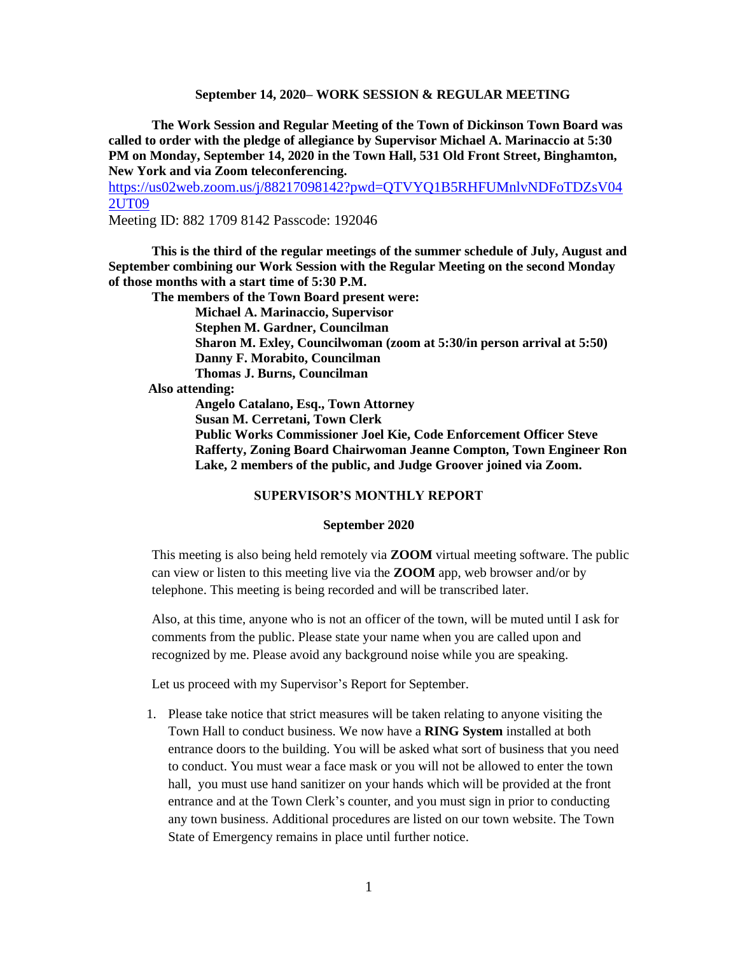**September 14, 2020– WORK SESSION & REGULAR MEETING**

**The Work Session and Regular Meeting of the Town of Dickinson Town Board was called to order with the pledge of allegiance by Supervisor Michael A. Marinaccio at 5:30 PM on Monday, September 14, 2020 in the Town Hall, 531 Old Front Street, Binghamton, New York and via Zoom teleconferencing.**

[https://us02web.zoom.us/j/88217098142?pwd=QTVYQ1B5RHFUMnlvNDFoTDZsV04](https://us02web.zoom.us/j/88217098142?pwd=QTVYQ1B5RHFUMnlvNDFoTDZsV042UT09) [2UT09](https://us02web.zoom.us/j/88217098142?pwd=QTVYQ1B5RHFUMnlvNDFoTDZsV042UT09)

Meeting ID: 882 1709 8142 Passcode: 192046

**This is the third of the regular meetings of the summer schedule of July, August and September combining our Work Session with the Regular Meeting on the second Monday of those months with a start time of 5:30 P.M.**

**The members of the Town Board present were: Michael A. Marinaccio, Supervisor Stephen M. Gardner, Councilman Sharon M. Exley, Councilwoman (zoom at 5:30/in person arrival at 5:50) Danny F. Morabito, Councilman Thomas J. Burns, Councilman Also attending: Angelo Catalano, Esq., Town Attorney Susan M. Cerretani, Town Clerk Public Works Commissioner Joel Kie, Code Enforcement Officer Steve Rafferty, Zoning Board Chairwoman Jeanne Compton, Town Engineer Ron Lake, 2 members of the public, and Judge Groover joined via Zoom.**

#### **SUPERVISOR'S MONTHLY REPORT**

#### **September 2020**

This meeting is also being held remotely via **ZOOM** virtual meeting software. The public can view or listen to this meeting live via the **ZOOM** app, web browser and/or by telephone. This meeting is being recorded and will be transcribed later.

Also, at this time, anyone who is not an officer of the town, will be muted until I ask for comments from the public. Please state your name when you are called upon and recognized by me. Please avoid any background noise while you are speaking.

Let us proceed with my Supervisor's Report for September.

1. Please take notice that strict measures will be taken relating to anyone visiting the Town Hall to conduct business. We now have a **RING System** installed at both entrance doors to the building. You will be asked what sort of business that you need to conduct. You must wear a face mask or you will not be allowed to enter the town hall, you must use hand sanitizer on your hands which will be provided at the front entrance and at the Town Clerk's counter, and you must sign in prior to conducting any town business. Additional procedures are listed on our town website. The Town State of Emergency remains in place until further notice.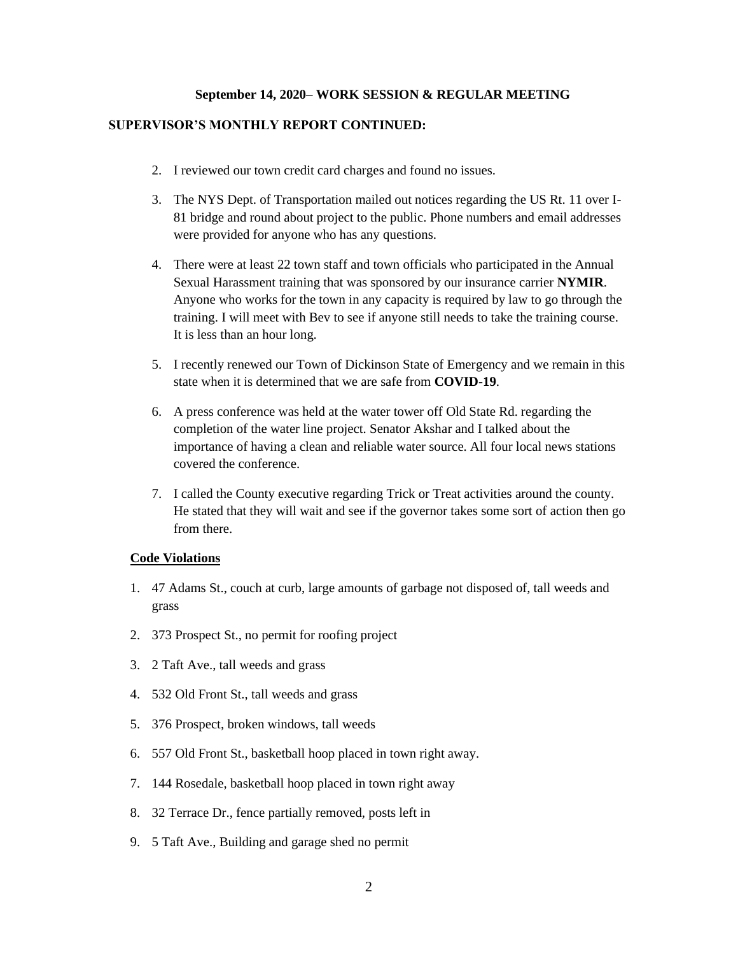#### **September 14, 2020– WORK SESSION & REGULAR MEETING**

#### **SUPERVISOR'S MONTHLY REPORT CONTINUED:**

- 2. I reviewed our town credit card charges and found no issues.
- 3. The NYS Dept. of Transportation mailed out notices regarding the US Rt. 11 over I-81 bridge and round about project to the public. Phone numbers and email addresses were provided for anyone who has any questions.
- 4. There were at least 22 town staff and town officials who participated in the Annual Sexual Harassment training that was sponsored by our insurance carrier **NYMIR**. Anyone who works for the town in any capacity is required by law to go through the training. I will meet with Bev to see if anyone still needs to take the training course. It is less than an hour long.
- 5. I recently renewed our Town of Dickinson State of Emergency and we remain in this state when it is determined that we are safe from **COVID-19**.
- 6. A press conference was held at the water tower off Old State Rd. regarding the completion of the water line project. Senator Akshar and I talked about the importance of having a clean and reliable water source. All four local news stations covered the conference.
- 7. I called the County executive regarding Trick or Treat activities around the county. He stated that they will wait and see if the governor takes some sort of action then go from there.

#### **Code Violations**

- 1. 47 Adams St., couch at curb, large amounts of garbage not disposed of, tall weeds and grass
- 2. 373 Prospect St., no permit for roofing project
- 3. 2 Taft Ave., tall weeds and grass
- 4. 532 Old Front St., tall weeds and grass
- 5. 376 Prospect, broken windows, tall weeds
- 6. 557 Old Front St., basketball hoop placed in town right away.
- 7. 144 Rosedale, basketball hoop placed in town right away
- 8. 32 Terrace Dr., fence partially removed, posts left in
- 9. 5 Taft Ave., Building and garage shed no permit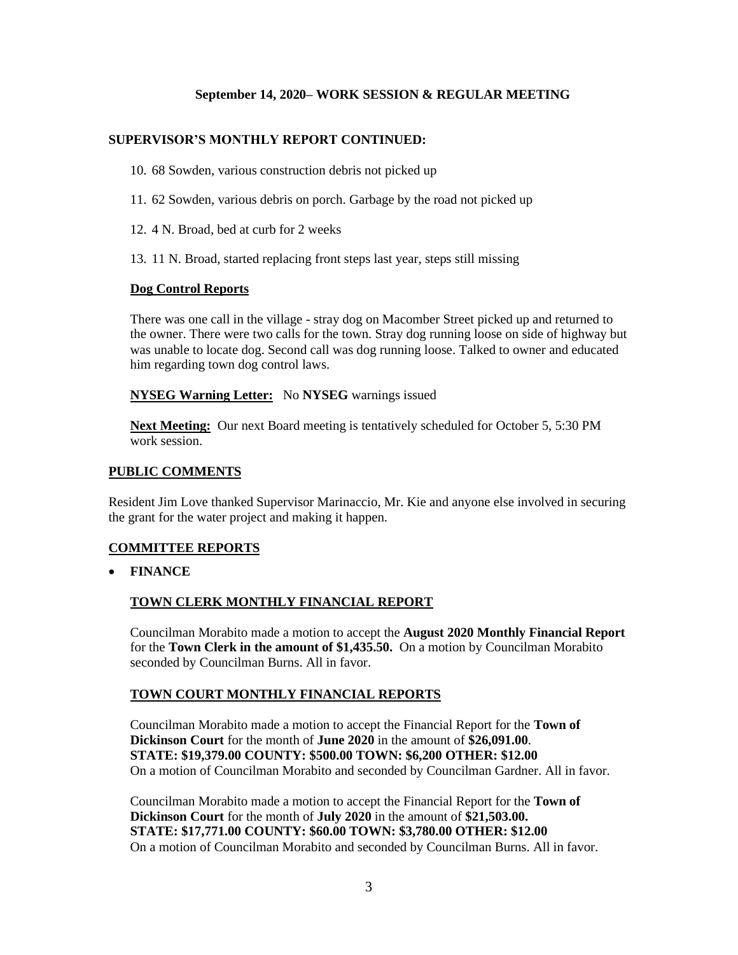## **September 14, 2020– WORK SESSION & REGULAR MEETING**

# **SUPERVISOR'S MONTHLY REPORT CONTINUED:**

- 10. 68 Sowden, various construction debris not picked up
- 11. 62 Sowden, various debris on porch. Garbage by the road not picked up
- 12. 4 N. Broad, bed at curb for 2 weeks
- 13. 11 N. Broad, started replacing front steps last year, steps still missing

#### **Dog Control Reports**

There was one call in the village - stray dog on Macomber Street picked up and returned to the owner. There were two calls for the town. Stray dog running loose on side of highway but was unable to locate dog. Second call was dog running loose. Talked to owner and educated him regarding town dog control laws.

#### **NYSEG Warning Letter:** No **NYSEG** warnings issued

**Next Meeting:** Our next Board meeting is tentatively scheduled for October 5, 5:30 PM work session.

#### **PUBLIC COMMENTS**

Resident Jim Love thanked Supervisor Marinaccio, Mr. Kie and anyone else involved in securing the grant for the water project and making it happen.

### **COMMITTEE REPORTS**

• **FINANCE**

### **TOWN CLERK MONTHLY FINANCIAL REPORT**

Councilman Morabito made a motion to accept the **August 2020 Monthly Financial Report** for the **Town Clerk in the amount of \$1,435.50.** On a motion by Councilman Morabito seconded by Councilman Burns. All in favor.

#### **TOWN COURT MONTHLY FINANCIAL REPORTS**

Councilman Morabito made a motion to accept the Financial Report for the **Town of Dickinson Court** for the month of **June 2020** in the amount of **\$26,091.00**. **STATE: \$19,379.00 COUNTY: \$500.00 TOWN: \$6,200 OTHER: \$12.00** On a motion of Councilman Morabito and seconded by Councilman Gardner. All in favor.

Councilman Morabito made a motion to accept the Financial Report for the **Town of Dickinson Court** for the month of **July 2020** in the amount of **\$21,503.00. STATE: \$17,771.00 COUNTY: \$60.00 TOWN: \$3,780.00 OTHER: \$12.00** On a motion of Councilman Morabito and seconded by Councilman Burns. All in favor.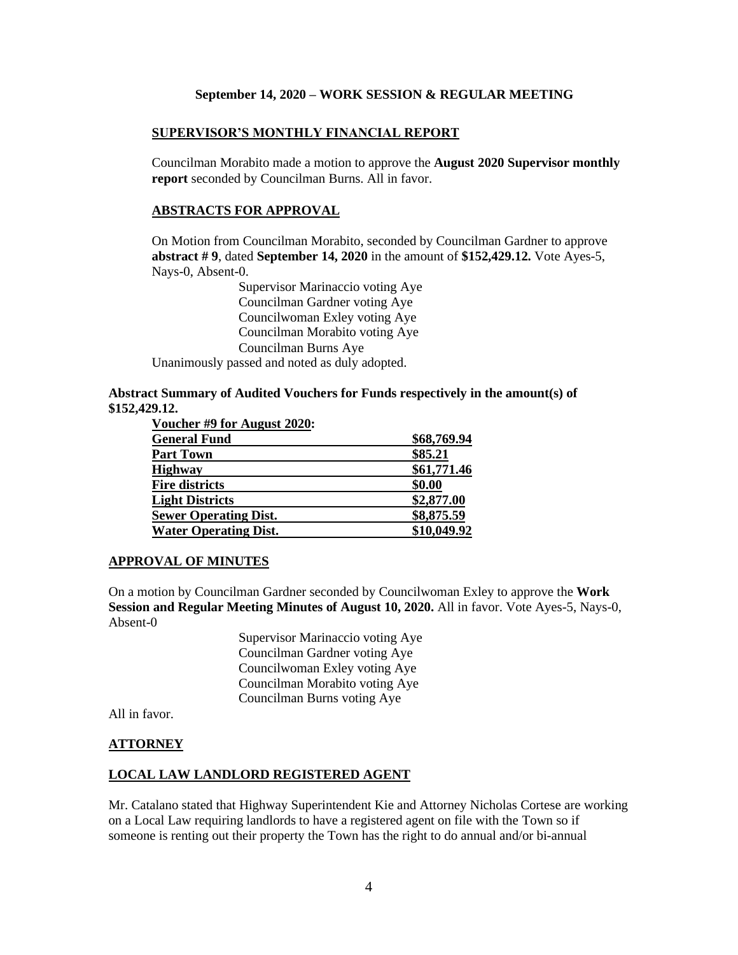#### **September 14, 2020 – WORK SESSION & REGULAR MEETING**

### **SUPERVISOR'S MONTHLY FINANCIAL REPORT**

Councilman Morabito made a motion to approve the **August 2020 Supervisor monthly report** seconded by Councilman Burns. All in favor.

#### **ABSTRACTS FOR APPROVAL**

On Motion from Councilman Morabito, seconded by Councilman Gardner to approve **abstract # 9**, dated **September 14, 2020** in the amount of **\$152,429.12.** Vote Ayes-5, Nays-0, Absent-0.

> Supervisor Marinaccio voting Aye Councilman Gardner voting Aye Councilwoman Exley voting Aye Councilman Morabito voting Aye Councilman Burns Aye

Unanimously passed and noted as duly adopted.

### **Abstract Summary of Audited Vouchers for Funds respectively in the amount(s) of \$152,429.12.**

| Voucher #9 for August 2020:  |             |
|------------------------------|-------------|
| <b>General Fund</b>          | \$68,769.94 |
| Part Town                    | \$85.21     |
| Highway                      | \$61,771.46 |
| <b>Fire districts</b>        | \$0.00      |
| <b>Light Districts</b>       | \$2,877.00  |
| <b>Sewer Operating Dist.</b> | \$8,875.59  |
| <b>Water Operating Dist.</b> | \$10,049.92 |
|                              |             |

#### **APPROVAL OF MINUTES**

On a motion by Councilman Gardner seconded by Councilwoman Exley to approve the **Work Session and Regular Meeting Minutes of August 10, 2020.** All in favor. Vote Ayes-5, Nays-0, Absent-0

> Supervisor Marinaccio voting Aye Councilman Gardner voting Aye Councilwoman Exley voting Aye Councilman Morabito voting Aye Councilman Burns voting Aye

All in favor.

#### **ATTORNEY**

## **LOCAL LAW LANDLORD REGISTERED AGENT**

Mr. Catalano stated that Highway Superintendent Kie and Attorney Nicholas Cortese are working on a Local Law requiring landlords to have a registered agent on file with the Town so if someone is renting out their property the Town has the right to do annual and/or bi-annual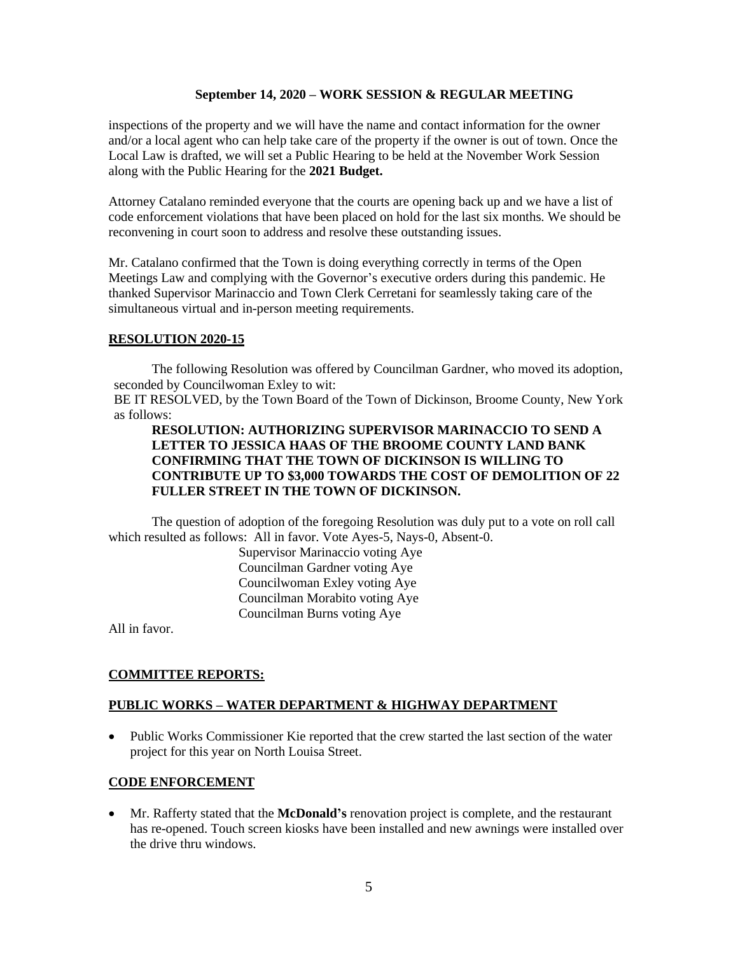#### **September 14, 2020 – WORK SESSION & REGULAR MEETING**

inspections of the property and we will have the name and contact information for the owner and/or a local agent who can help take care of the property if the owner is out of town. Once the Local Law is drafted, we will set a Public Hearing to be held at the November Work Session along with the Public Hearing for the **2021 Budget.**

Attorney Catalano reminded everyone that the courts are opening back up and we have a list of code enforcement violations that have been placed on hold for the last six months. We should be reconvening in court soon to address and resolve these outstanding issues.

Mr. Catalano confirmed that the Town is doing everything correctly in terms of the Open Meetings Law and complying with the Governor's executive orders during this pandemic. He thanked Supervisor Marinaccio and Town Clerk Cerretani for seamlessly taking care of the simultaneous virtual and in-person meeting requirements.

#### **RESOLUTION 2020-15**

The following Resolution was offered by Councilman Gardner, who moved its adoption, seconded by Councilwoman Exley to wit:

BE IT RESOLVED, by the Town Board of the Town of Dickinson, Broome County, New York as follows:

### **RESOLUTION: AUTHORIZING SUPERVISOR MARINACCIO TO SEND A LETTER TO JESSICA HAAS OF THE BROOME COUNTY LAND BANK CONFIRMING THAT THE TOWN OF DICKINSON IS WILLING TO CONTRIBUTE UP TO \$3,000 TOWARDS THE COST OF DEMOLITION OF 22 FULLER STREET IN THE TOWN OF DICKINSON.**

The question of adoption of the foregoing Resolution was duly put to a vote on roll call which resulted as follows: All in favor. Vote Ayes-5, Nays-0, Absent-0.

> Supervisor Marinaccio voting Aye Councilman Gardner voting Aye Councilwoman Exley voting Aye Councilman Morabito voting Aye Councilman Burns voting Aye

All in favor.

### **COMMITTEE REPORTS:**

### **PUBLIC WORKS – WATER DEPARTMENT & HIGHWAY DEPARTMENT**

• Public Works Commissioner Kie reported that the crew started the last section of the water project for this year on North Louisa Street.

### **CODE ENFORCEMENT**

• Mr. Rafferty stated that the **McDonald's** renovation project is complete, and the restaurant has re-opened. Touch screen kiosks have been installed and new awnings were installed over the drive thru windows.